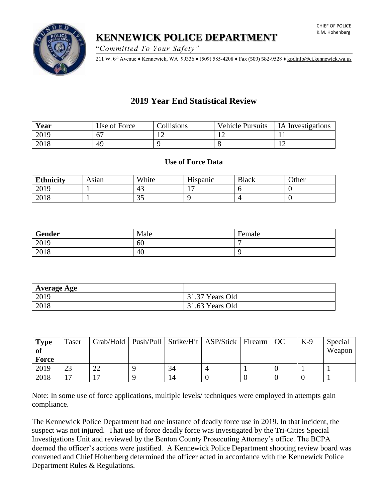# **KENNEWICK POLICE DEPARTMENT**

"*Committed To Your Safety"*

211 W. 6th Avenue ♦ Kennewick, WA 99336 ♦ (509) 585-4208 ♦ Fax (509) 582-9528 [♦ kpdinfo@ci.kennewick.wa.us](mailto:kpdinfo@ci.kennewick.wa.us)

# **2019 Year End Statistical Review**

| Year | Use of Force | Collisions | <b>Vehicle Pursuits</b> | <b>IA</b> Investigations |
|------|--------------|------------|-------------------------|--------------------------|
| 2019 |              |            |                         |                          |
| 2018 | 49           |            |                         |                          |

#### **Use of Force Data**

| <b>Ethnicity</b> | Asıan | White      | <b>TT'</b><br>H <sub>1</sub> span <sub>1</sub> c | <b>Black</b> | Other |
|------------------|-------|------------|--------------------------------------------------|--------------|-------|
| 2019             |       | 43         | $\overline{\phantom{a}}$                         |              |       |
| 2018             |       | າ ເ<br>ر ر |                                                  |              |       |

| Gender | Male | Female |
|--------|------|--------|
| 2019   | 60   |        |
| 2018   | 40   |        |

| <b>Average Age</b> |                 |
|--------------------|-----------------|
| 2019               | 31.37 Years Old |
| 2018               | 31.63 Years Old |

| <b>Type</b><br>of<br><b>Force</b> | Taser |        |    | Grab/Hold   Push/Pull   Strike/Hit   ASP/Stick   Firearm   OC |  | $K-9$ | Special<br>Weapon |
|-----------------------------------|-------|--------|----|---------------------------------------------------------------|--|-------|-------------------|
| 2019                              | 23    | $\cap$ | 34 |                                                               |  |       |                   |
| 2018                              | די    |        | 14 |                                                               |  |       |                   |

Note: In some use of force applications, multiple levels/ techniques were employed in attempts gain compliance.

The Kennewick Police Department had one instance of deadly force use in 2019. In that incident, the suspect was not injured. That use of force deadly force was investigated by the Tri-Cities Special Investigations Unit and reviewed by the Benton County Prosecuting Attorney's office. The BCPA deemed the officer's actions were justified. A Kennewick Police Department shooting review board was convened and Chief Hohenberg determined the officer acted in accordance with the Kennewick Police Department Rules & Regulations.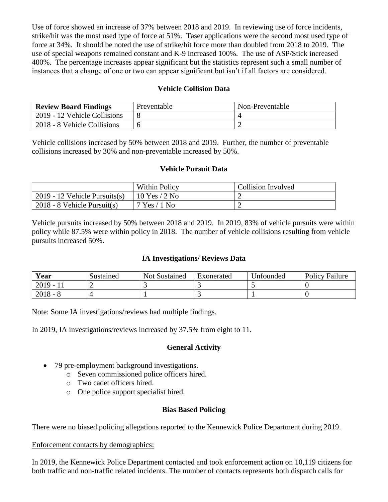Use of force showed an increase of 37% between 2018 and 2019. In reviewing use of force incidents, strike/hit was the most used type of force at 51%. Taser applications were the second most used type of force at 34%. It should be noted the use of strike/hit force more than doubled from 2018 to 2019. The use of special weapons remained constant and K-9 increased 100%. The use of ASP/Stick increased 400%. The percentage increases appear significant but the statistics represent such a small number of instances that a change of one or two can appear significant but isn't if all factors are considered.

# **Vehicle Collision Data**

| <b>Review Board Findings</b> | Preventable | Non-Preventable |
|------------------------------|-------------|-----------------|
| 2019 - 12 Vehicle Collisions |             |                 |
| 2018 - 8 Vehicle Collisions  |             |                 |

Vehicle collisions increased by 50% between 2018 and 2019. Further, the number of preventable collisions increased by 30% and non-preventable increased by 50%.

## **Vehicle Pursuit Data**

|                                                                                        | <b>Within Policy</b> | Collision Involved |
|----------------------------------------------------------------------------------------|----------------------|--------------------|
| $\frac{12019 - 12 \text{ Vehicle Pursuits(s)}}{2019 - 12 \text{ Vehicle Pursuits(s)}}$ | $10$ Yes $/2$ No     |                    |
| $2018 - 8$ Vehicle Pursuit(s)                                                          | $7$ Yes $/1$ No      |                    |

Vehicle pursuits increased by 50% between 2018 and 2019. In 2019, 83% of vehicle pursuits were within policy while 87.5% were within policy in 2018. The number of vehicle collisions resulting from vehicle pursuits increased 50%.

## **IA Investigations/ Reviews Data**

| Year       | Sustained | <b>Not Sustained</b> | Exonerated | Unfounded | <b>Policy Failure</b> |
|------------|-----------|----------------------|------------|-----------|-----------------------|
| $2019 -$   |           |                      |            |           |                       |
| $2018 - 8$ |           |                      |            |           |                       |

Note: Some IA investigations/reviews had multiple findings.

In 2019, IA investigations/reviews increased by 37.5% from eight to 11.

## **General Activity**

- 79 pre-employment background investigations.
	- o Seven commissioned police officers hired.
	- o Two cadet officers hired.
	- o One police support specialist hired.

#### **Bias Based Policing**

There were no biased policing allegations reported to the Kennewick Police Department during 2019.

#### Enforcement contacts by demographics:

In 2019, the Kennewick Police Department contacted and took enforcement action on 10,119 citizens for both traffic and non-traffic related incidents. The number of contacts represents both dispatch calls for